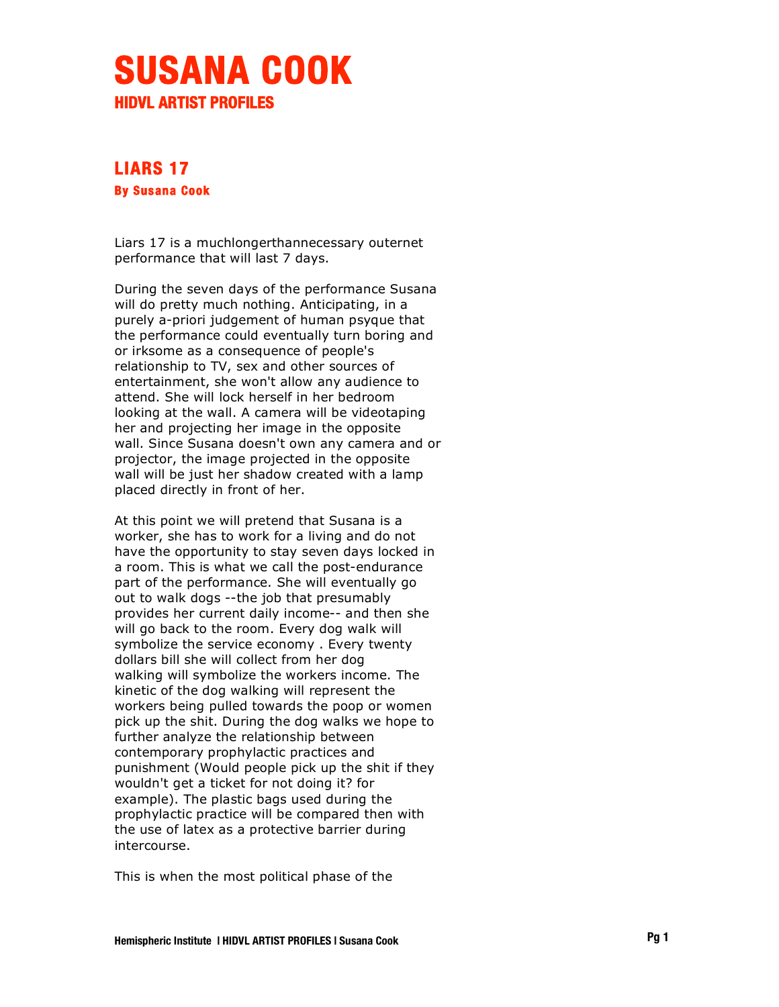## **SUSANA COOK HIDVL ARTIST PROFILES**

## **LIARS 17 By Susana Cook**

Liars 17 is a muchlongerthannecessary outernet performance that will last 7 days.

During the seven days of the performance Susana will do pretty much nothing. Anticipating, in a purely a-priori judgement of human psyque that the performance could eventually turn boring and or irksome as a consequence of people's relationship to TV, sex and other sources of entertainment, she won't allow any audience to attend. She will lock herself in her bedroom looking at the wall. A camera will be videotaping her and projecting her image in the opposite wall. Since Susana doesn't own any camera and or projector, the image projected in the opposite wall will be just her shadow created with a lamp placed directly in front of her.

At this point we will pretend that Susana is a worker, she has to work for a living and do not have the opportunity to stay seven days locked in a room. This is what we call the post-endurance part of the performance. She will eventually go out to walk dogs --the job that presumably provides her current daily income-- and then she will go back to the room. Every dog walk will symbolize the service economy . Every twenty dollars bill she will collect from her dog walking will symbolize the workers income. The kinetic of the dog walking will represent the workers being pulled towards the poop or women pick up the shit. During the dog walks we hope to further analyze the relationship between contemporary prophylactic practices and punishment (Would people pick up the shit if they wouldn't get a ticket for not doing it? for example). The plastic bags used during the prophylactic practice will be compared then with the use of latex as a protective barrier during intercourse.

This is when the most political phase of the